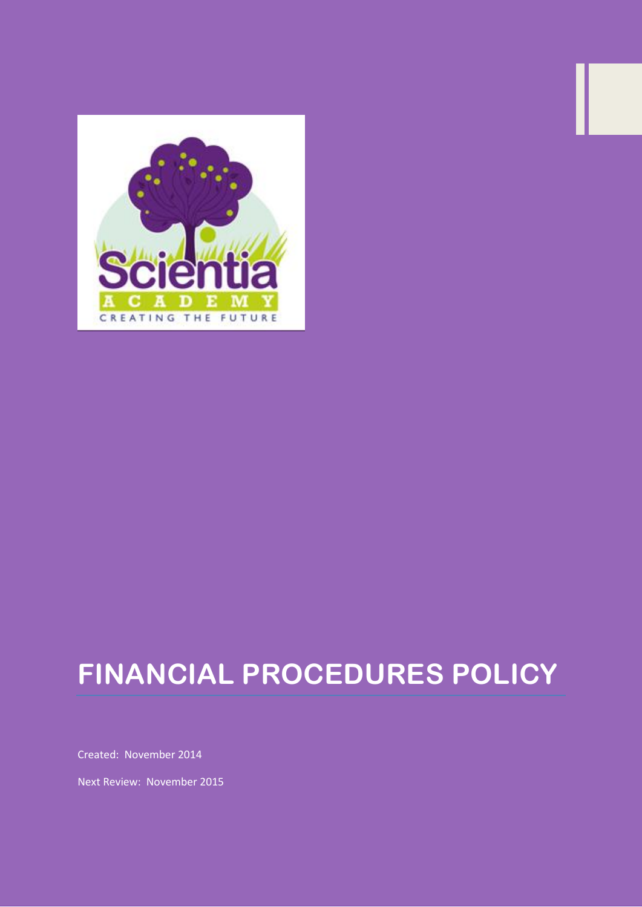

# **FINANCIAL PROCEDURES POLICY**

Created: November 2014

Next Review: November 2015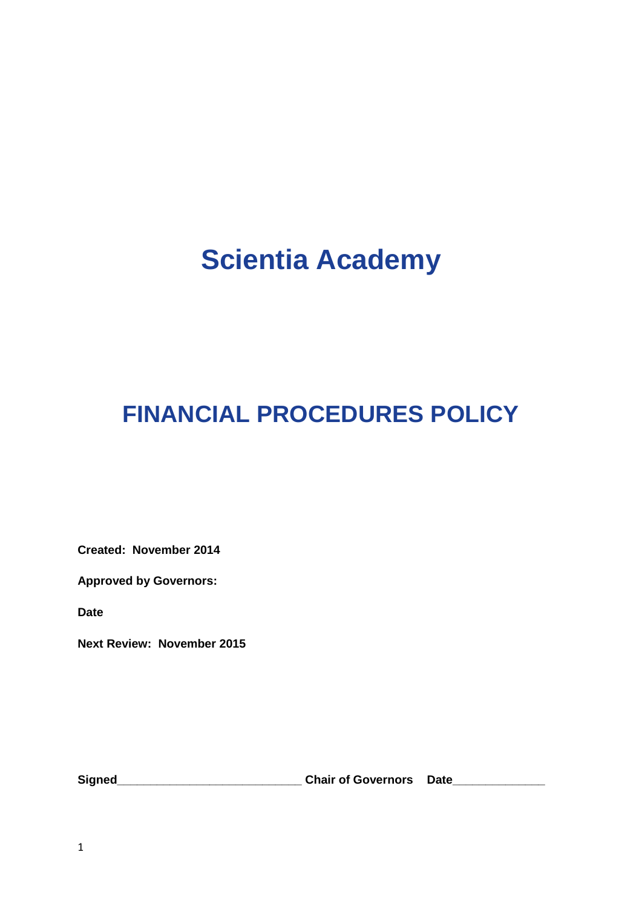## **Scientia Academy**

## **FINANCIAL PROCEDURES POLICY**

**Created: November 2014** 

**Approved by Governors:**

**Date** 

**Next Review: November 2015**

**Signed\_\_\_\_\_\_\_\_\_\_\_\_\_\_\_\_\_\_\_\_\_\_\_\_\_\_\_\_ Chair of Governors Date\_\_\_\_\_\_\_\_\_\_\_\_\_\_**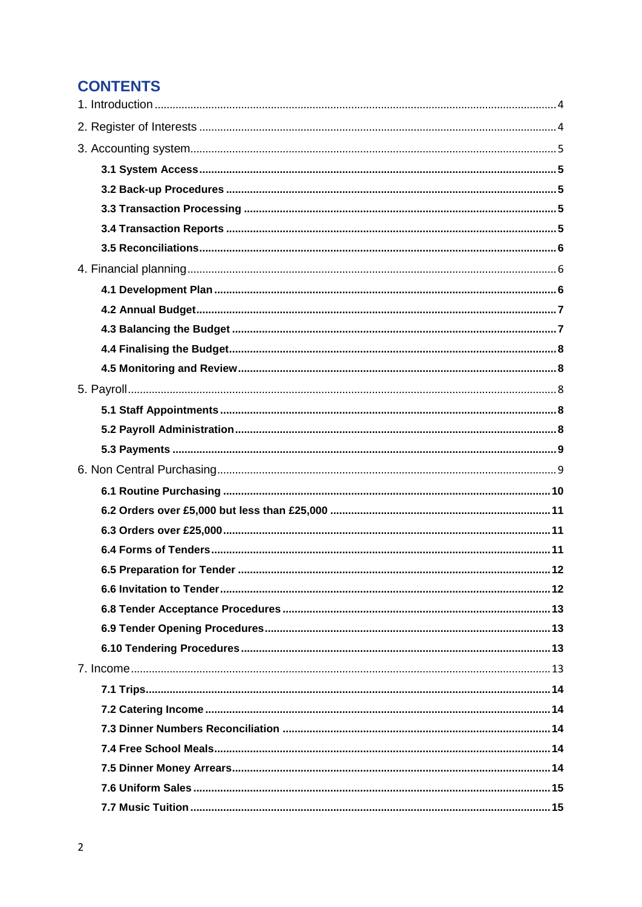## **CONTENTS**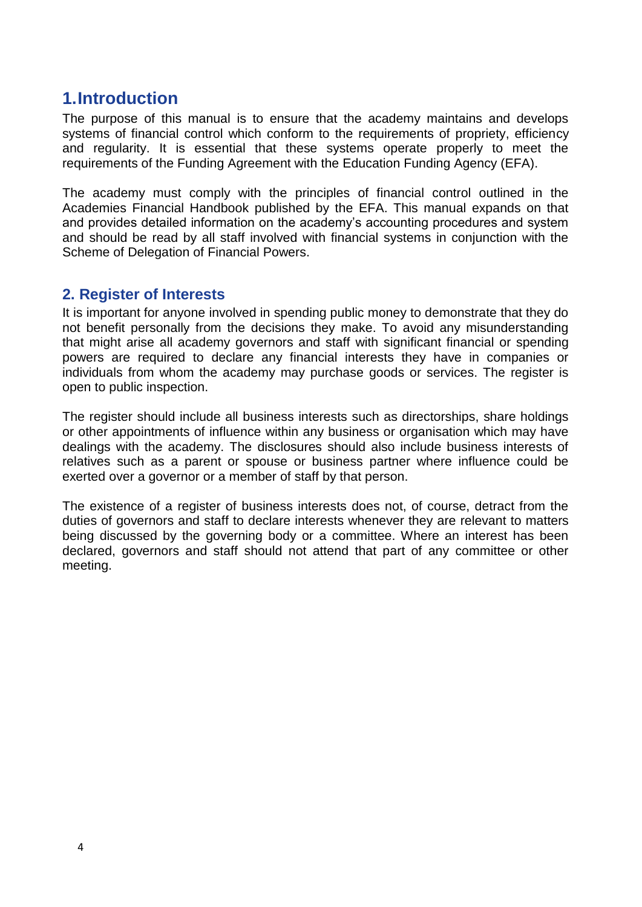## <span id="page-4-0"></span>**1.Introduction**

The purpose of this manual is to ensure that the academy maintains and develops systems of financial control which conform to the requirements of propriety, efficiency and regularity. It is essential that these systems operate properly to meet the requirements of the Funding Agreement with the Education Funding Agency (EFA).

The academy must comply with the principles of financial control outlined in the Academies Financial Handbook published by the EFA. This manual expands on that and provides detailed information on the academy's accounting procedures and system and should be read by all staff involved with financial systems in conjunction with the Scheme of Delegation of Financial Powers.

## <span id="page-4-1"></span>**2. Register of Interests**

It is important for anyone involved in spending public money to demonstrate that they do not benefit personally from the decisions they make. To avoid any misunderstanding that might arise all academy governors and staff with significant financial or spending powers are required to declare any financial interests they have in companies or individuals from whom the academy may purchase goods or services. The register is open to public inspection.

The register should include all business interests such as directorships, share holdings or other appointments of influence within any business or organisation which may have dealings with the academy. The disclosures should also include business interests of relatives such as a parent or spouse or business partner where influence could be exerted over a governor or a member of staff by that person.

The existence of a register of business interests does not, of course, detract from the duties of governors and staff to declare interests whenever they are relevant to matters being discussed by the governing body or a committee. Where an interest has been declared, governors and staff should not attend that part of any committee or other meeting.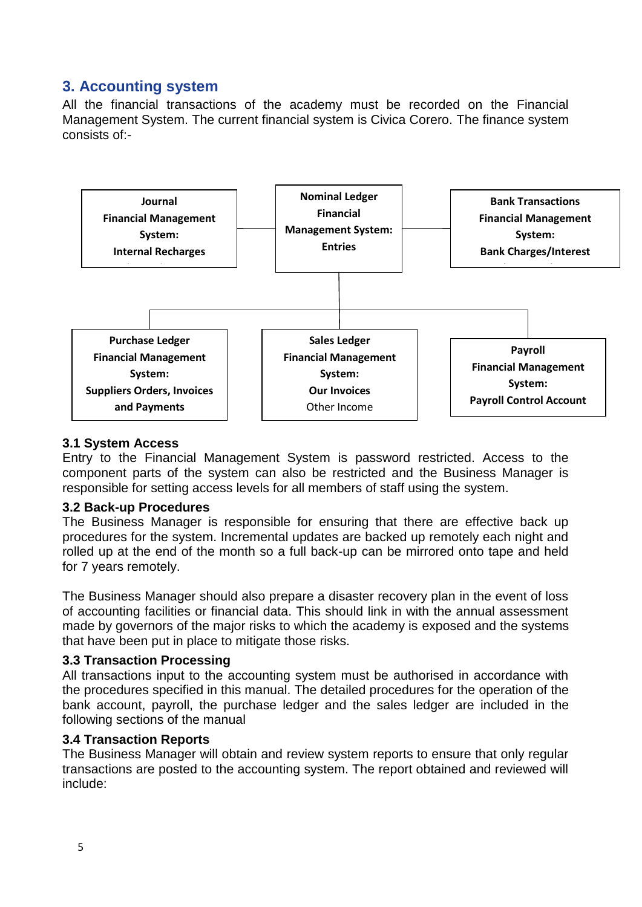## <span id="page-5-0"></span>**3. Accounting system**

All the financial transactions of the academy must be recorded on the Financial Management System. The current financial system is Civica Corero. The finance system consists of:-



#### <span id="page-5-1"></span>**3.1 System Access**

Entry to the Financial Management System is password restricted. Access to the component parts of the system can also be restricted and the Business Manager is responsible for setting access levels for all members of staff using the system.

#### <span id="page-5-2"></span>**3.2 Back-up Procedures**

The Business Manager is responsible for ensuring that there are effective back up procedures for the system. Incremental updates are backed up remotely each night and rolled up at the end of the month so a full back-up can be mirrored onto tape and held for 7 years remotely.

The Business Manager should also prepare a disaster recovery plan in the event of loss of accounting facilities or financial data. This should link in with the annual assessment made by governors of the major risks to which the academy is exposed and the systems that have been put in place to mitigate those risks.

#### <span id="page-5-3"></span>**3.3 Transaction Processing**

All transactions input to the accounting system must be authorised in accordance with the procedures specified in this manual. The detailed procedures for the operation of the bank account, payroll, the purchase ledger and the sales ledger are included in the following sections of the manual

#### <span id="page-5-4"></span>**3.4 Transaction Reports**

The Business Manager will obtain and review system reports to ensure that only regular transactions are posted to the accounting system. The report obtained and reviewed will include: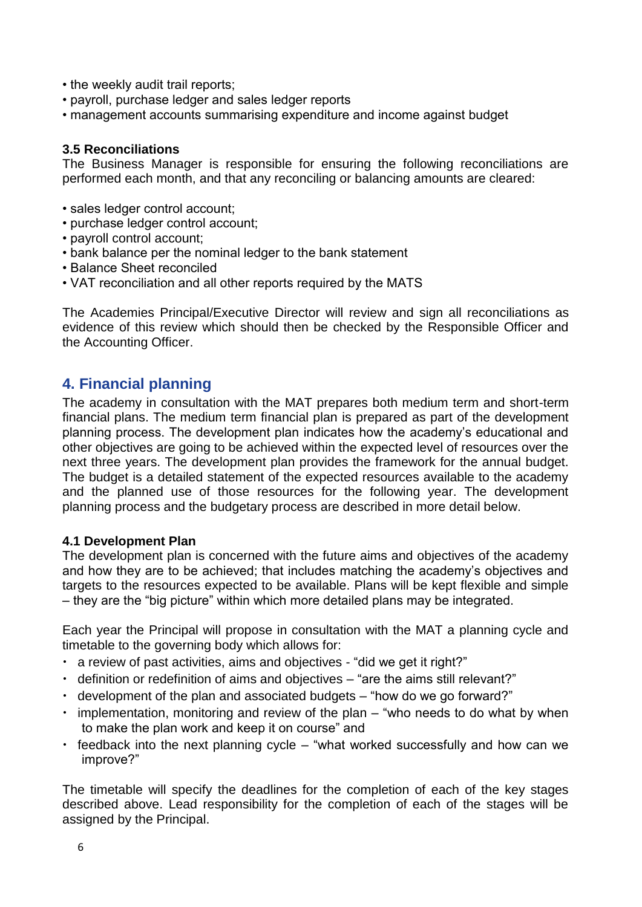- the weekly audit trail reports;
- payroll, purchase ledger and sales ledger reports
- management accounts summarising expenditure and income against budget

#### <span id="page-6-0"></span>**3.5 Reconciliations**

The Business Manager is responsible for ensuring the following reconciliations are performed each month, and that any reconciling or balancing amounts are cleared:

- sales ledger control account;
- purchase ledger control account;
- payroll control account;
- bank balance per the nominal ledger to the bank statement
- Balance Sheet reconciled
- VAT reconciliation and all other reports required by the MATS

The Academies Principal/Executive Director will review and sign all reconciliations as evidence of this review which should then be checked by the Responsible Officer and the Accounting Officer.

## <span id="page-6-1"></span>**4. Financial planning**

The academy in consultation with the MAT prepares both medium term and short-term financial plans. The medium term financial plan is prepared as part of the development planning process. The development plan indicates how the academy's educational and other objectives are going to be achieved within the expected level of resources over the next three years. The development plan provides the framework for the annual budget. The budget is a detailed statement of the expected resources available to the academy and the planned use of those resources for the following year. The development planning process and the budgetary process are described in more detail below.

#### <span id="page-6-2"></span>**4.1 Development Plan**

The development plan is concerned with the future aims and objectives of the academy and how they are to be achieved; that includes matching the academy's objectives and targets to the resources expected to be available. Plans will be kept flexible and simple – they are the "big picture" within which more detailed plans may be integrated.

Each year the Principal will propose in consultation with the MAT a planning cycle and timetable to the governing body which allows for:

- a review of past activities, aims and objectives "did we get it right?"
- definition or redefinition of aims and objectives "are the aims still relevant?"
- development of the plan and associated budgets "how do we go forward?"
- implementation, monitoring and review of the plan "who needs to do what by when to make the plan work and keep it on course" and
- feedback into the next planning cycle "what worked successfully and how can we improve?"

The timetable will specify the deadlines for the completion of each of the key stages described above. Lead responsibility for the completion of each of the stages will be assigned by the Principal.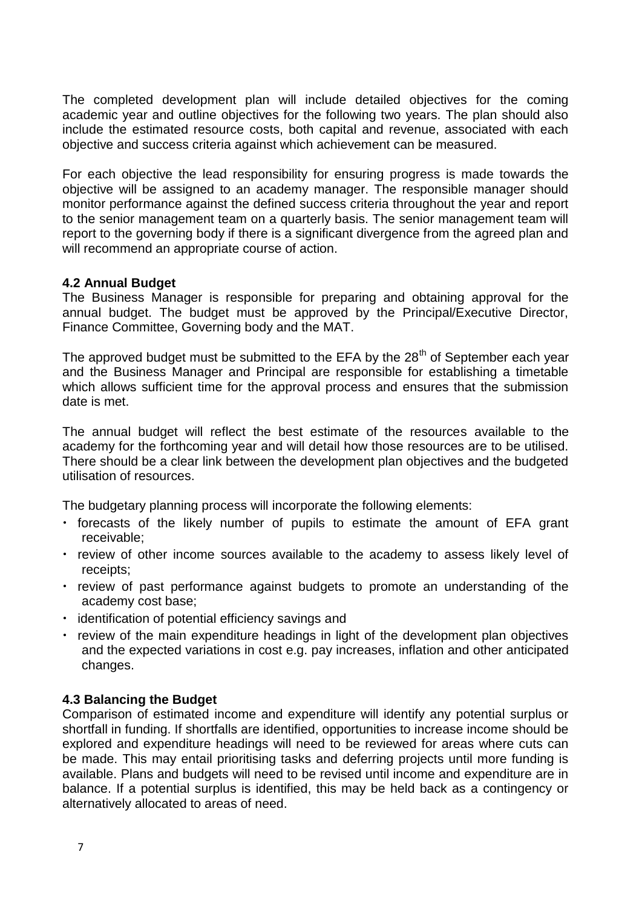The completed development plan will include detailed objectives for the coming academic year and outline objectives for the following two years. The plan should also include the estimated resource costs, both capital and revenue, associated with each objective and success criteria against which achievement can be measured.

For each objective the lead responsibility for ensuring progress is made towards the objective will be assigned to an academy manager. The responsible manager should monitor performance against the defined success criteria throughout the year and report to the senior management team on a quarterly basis. The senior management team will report to the governing body if there is a significant divergence from the agreed plan and will recommend an appropriate course of action.

#### <span id="page-7-0"></span>**4.2 Annual Budget**

The Business Manager is responsible for preparing and obtaining approval for the annual budget. The budget must be approved by the Principal/Executive Director, Finance Committee, Governing body and the MAT.

The approved budget must be submitted to the EFA by the 28<sup>th</sup> of September each year and the Business Manager and Principal are responsible for establishing a timetable which allows sufficient time for the approval process and ensures that the submission date is met.

The annual budget will reflect the best estimate of the resources available to the academy for the forthcoming year and will detail how those resources are to be utilised. There should be a clear link between the development plan objectives and the budgeted utilisation of resources.

The budgetary planning process will incorporate the following elements:

- forecasts of the likely number of pupils to estimate the amount of EFA grant receivable;
- review of other income sources available to the academy to assess likely level of receipts;
- review of past performance against budgets to promote an understanding of the academy cost base;
- identification of potential efficiency savings and
- review of the main expenditure headings in light of the development plan objectives and the expected variations in cost e.g. pay increases, inflation and other anticipated changes.

#### <span id="page-7-1"></span>**4.3 Balancing the Budget**

Comparison of estimated income and expenditure will identify any potential surplus or shortfall in funding. If shortfalls are identified, opportunities to increase income should be explored and expenditure headings will need to be reviewed for areas where cuts can be made. This may entail prioritising tasks and deferring projects until more funding is available. Plans and budgets will need to be revised until income and expenditure are in balance. If a potential surplus is identified, this may be held back as a contingency or alternatively allocated to areas of need.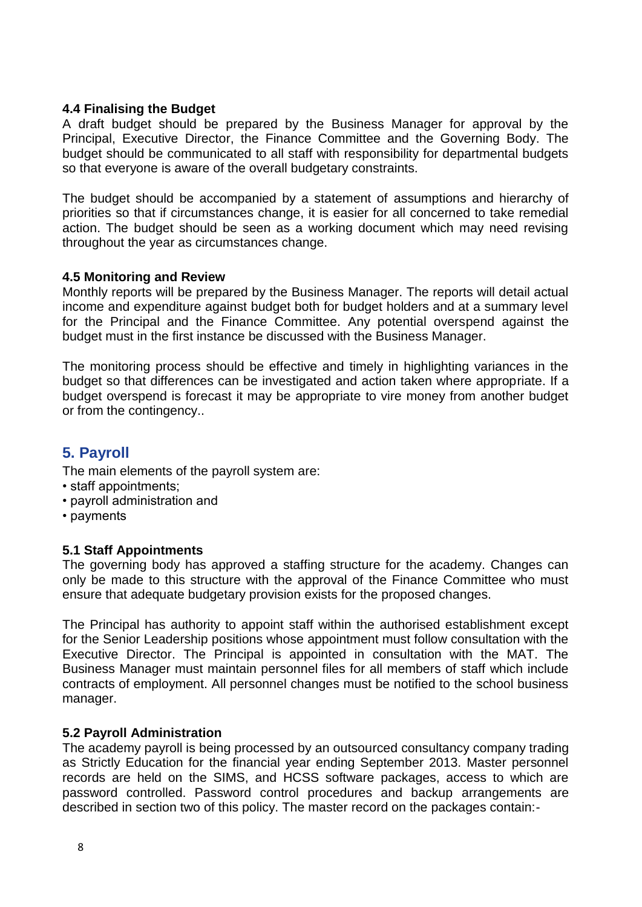#### <span id="page-8-0"></span>**4.4 Finalising the Budget**

A draft budget should be prepared by the Business Manager for approval by the Principal, Executive Director, the Finance Committee and the Governing Body. The budget should be communicated to all staff with responsibility for departmental budgets so that everyone is aware of the overall budgetary constraints.

The budget should be accompanied by a statement of assumptions and hierarchy of priorities so that if circumstances change, it is easier for all concerned to take remedial action. The budget should be seen as a working document which may need revising throughout the year as circumstances change.

#### <span id="page-8-1"></span>**4.5 Monitoring and Review**

Monthly reports will be prepared by the Business Manager. The reports will detail actual income and expenditure against budget both for budget holders and at a summary level for the Principal and the Finance Committee. Any potential overspend against the budget must in the first instance be discussed with the Business Manager.

The monitoring process should be effective and timely in highlighting variances in the budget so that differences can be investigated and action taken where appropriate. If a budget overspend is forecast it may be appropriate to vire money from another budget or from the contingency..

## <span id="page-8-2"></span>**5. Payroll**

The main elements of the payroll system are:

- staff appointments;
- payroll administration and
- payments

#### <span id="page-8-3"></span>**5.1 Staff Appointments**

The governing body has approved a staffing structure for the academy. Changes can only be made to this structure with the approval of the Finance Committee who must ensure that adequate budgetary provision exists for the proposed changes.

The Principal has authority to appoint staff within the authorised establishment except for the Senior Leadership positions whose appointment must follow consultation with the Executive Director. The Principal is appointed in consultation with the MAT. The Business Manager must maintain personnel files for all members of staff which include contracts of employment. All personnel changes must be notified to the school business manager.

#### <span id="page-8-4"></span>**5.2 Payroll Administration**

The academy payroll is being processed by an outsourced consultancy company trading as Strictly Education for the financial year ending September 2013. Master personnel records are held on the SIMS, and HCSS software packages, access to which are password controlled. Password control procedures and backup arrangements are described in section two of this policy. The master record on the packages contain:-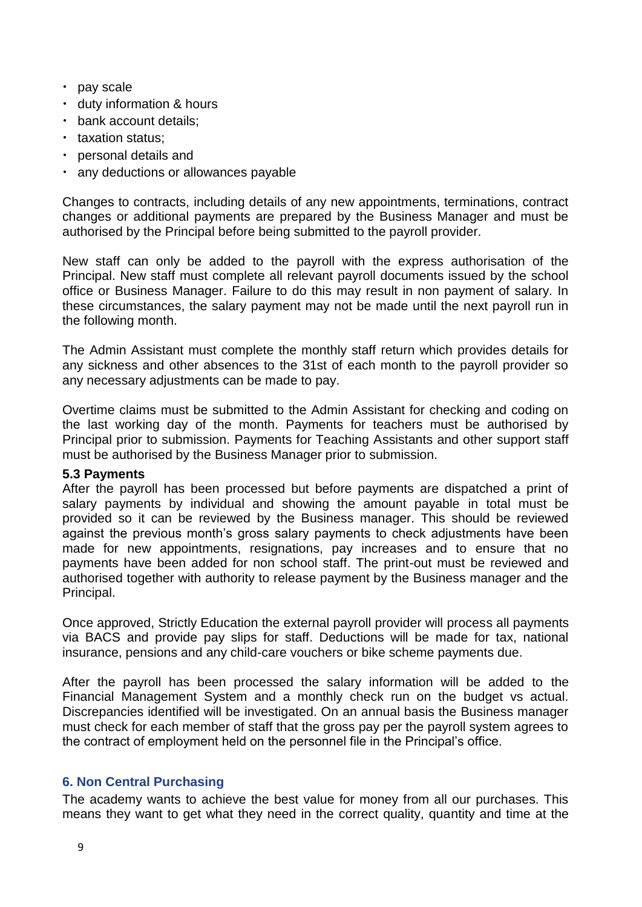- pay scale
- duty information & hours
- bank account details;
- taxation status;
- personal details and
- any deductions or allowances payable

Changes to contracts, including details of any new appointments, terminations, contract changes or additional payments are prepared by the Business Manager and must be authorised by the Principal before being submitted to the payroll provider.

New staff can only be added to the payroll with the express authorisation of the Principal. New staff must complete all relevant payroll documents issued by the school office or Business Manager. Failure to do this may result in non payment of salary. In these circumstances, the salary payment may not be made until the next payroll run in the following month.

The Admin Assistant must complete the monthly staff return which provides details for any sickness and other absences to the 31st of each month to the payroll provider so any necessary adjustments can be made to pay.

Overtime claims must be submitted to the Admin Assistant for checking and coding on the last working day of the month. Payments for teachers must be authorised by Principal prior to submission. Payments for Teaching Assistants and other support staff must be authorised by the Business Manager prior to submission.

#### <span id="page-9-0"></span>**5.3 Payments**

After the payroll has been processed but before payments are dispatched a print of salary payments by individual and showing the amount payable in total must be provided so it can be reviewed by the Business manager. This should be reviewed against the previous month's gross salary payments to check adjustments have been made for new appointments, resignations, pay increases and to ensure that no payments have been added for non school staff. The print-out must be reviewed and authorised together with authority to release payment by the Business manager and the Principal.

Once approved, Strictly Education the external payroll provider will process all payments via BACS and provide pay slips for staff. Deductions will be made for tax, national insurance, pensions and any child-care vouchers or bike scheme payments due.

After the payroll has been processed the salary information will be added to the Financial Management System and a monthly check run on the budget vs actual. Discrepancies identified will be investigated. On an annual basis the Business manager must check for each member of staff that the gross pay per the payroll system agrees to the contract of employment held on the personnel file in the Principal's office.

#### <span id="page-9-1"></span>**6. Non Central Purchasing**

The academy wants to achieve the best value for money from all our purchases. This means they want to get what they need in the correct quality, quantity and time at the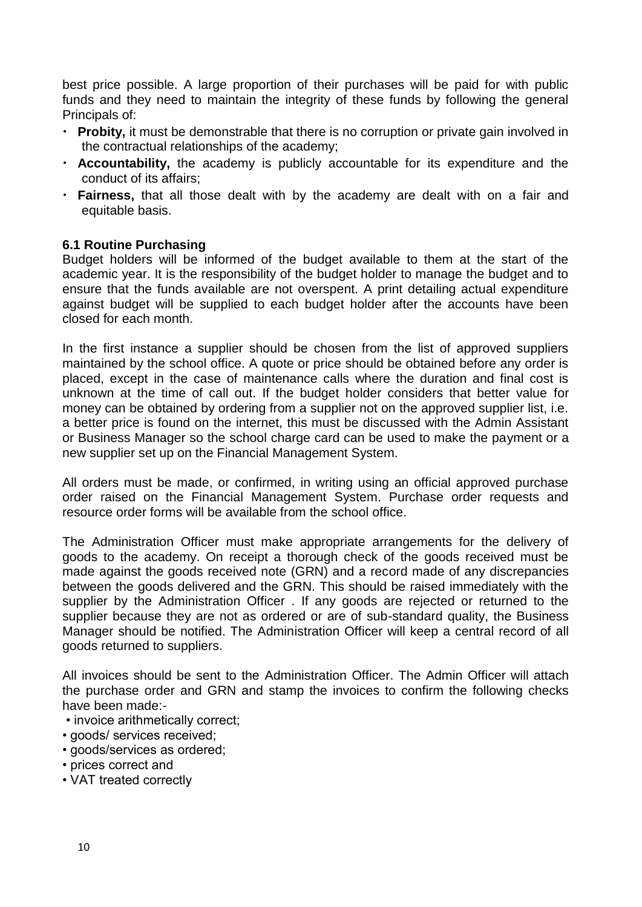best price possible. A large proportion of their purchases will be paid for with public funds and they need to maintain the integrity of these funds by following the general Principals of:

- **Probity,** it must be demonstrable that there is no corruption or private gain involved in the contractual relationships of the academy;
- **Accountability,** the academy is publicly accountable for its expenditure and the conduct of its affairs;
- **Fairness,** that all those dealt with by the academy are dealt with on a fair and equitable basis.

#### <span id="page-10-0"></span>**6.1 Routine Purchasing**

Budget holders will be informed of the budget available to them at the start of the academic year. It is the responsibility of the budget holder to manage the budget and to ensure that the funds available are not overspent. A print detailing actual expenditure against budget will be supplied to each budget holder after the accounts have been closed for each month.

In the first instance a supplier should be chosen from the list of approved suppliers maintained by the school office. A quote or price should be obtained before any order is placed, except in the case of maintenance calls where the duration and final cost is unknown at the time of call out. If the budget holder considers that better value for money can be obtained by ordering from a supplier not on the approved supplier list, i.e. a better price is found on the internet, this must be discussed with the Admin Assistant or Business Manager so the school charge card can be used to make the payment or a new supplier set up on the Financial Management System.

All orders must be made, or confirmed, in writing using an official approved purchase order raised on the Financial Management System. Purchase order requests and resource order forms will be available from the school office.

The Administration Officer must make appropriate arrangements for the delivery of goods to the academy. On receipt a thorough check of the goods received must be made against the goods received note (GRN) and a record made of any discrepancies between the goods delivered and the GRN. This should be raised immediately with the supplier by the Administration Officer . If any goods are rejected or returned to the supplier because they are not as ordered or are of sub-standard quality, the Business Manager should be notified. The Administration Officer will keep a central record of all goods returned to suppliers.

All invoices should be sent to the Administration Officer. The Admin Officer will attach the purchase order and GRN and stamp the invoices to confirm the following checks have been made:-

- invoice arithmetically correct;
- goods/ services received;
- goods/services as ordered;
- prices correct and
- VAT treated correctly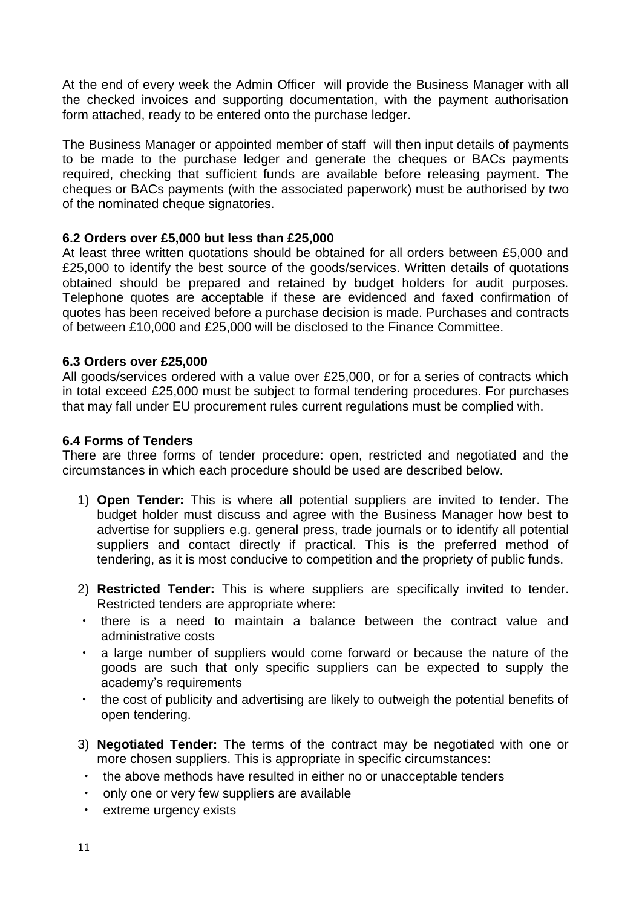At the end of every week the Admin Officer will provide the Business Manager with all the checked invoices and supporting documentation, with the payment authorisation form attached, ready to be entered onto the purchase ledger.

The Business Manager or appointed member of staff will then input details of payments to be made to the purchase ledger and generate the cheques or BACs payments required, checking that sufficient funds are available before releasing payment. The cheques or BACs payments (with the associated paperwork) must be authorised by two of the nominated cheque signatories.

#### <span id="page-11-0"></span>**6.2 Orders over £5,000 but less than £25,000**

At least three written quotations should be obtained for all orders between £5,000 and £25,000 to identify the best source of the goods/services. Written details of quotations obtained should be prepared and retained by budget holders for audit purposes. Telephone quotes are acceptable if these are evidenced and faxed confirmation of quotes has been received before a purchase decision is made. Purchases and contracts of between £10,000 and £25,000 will be disclosed to the Finance Committee.

#### <span id="page-11-1"></span>**6.3 Orders over £25,000**

All goods/services ordered with a value over £25,000, or for a series of contracts which in total exceed £25,000 must be subject to formal tendering procedures. For purchases that may fall under EU procurement rules current regulations must be complied with.

#### <span id="page-11-2"></span>**6.4 Forms of Tenders**

There are three forms of tender procedure: open, restricted and negotiated and the circumstances in which each procedure should be used are described below.

- 1) **Open Tender:** This is where all potential suppliers are invited to tender. The budget holder must discuss and agree with the Business Manager how best to advertise for suppliers e.g. general press, trade journals or to identify all potential suppliers and contact directly if practical. This is the preferred method of tendering, as it is most conducive to competition and the propriety of public funds.
- 2) **Restricted Tender:** This is where suppliers are specifically invited to tender. Restricted tenders are appropriate where:
- there is a need to maintain a balance between the contract value and administrative costs
- a large number of suppliers would come forward or because the nature of the goods are such that only specific suppliers can be expected to supply the academy's requirements
- the cost of publicity and advertising are likely to outweigh the potential benefits of open tendering.
- 3) **Negotiated Tender:** The terms of the contract may be negotiated with one or more chosen suppliers. This is appropriate in specific circumstances:
	- the above methods have resulted in either no or unacceptable tenders
	- only one or very few suppliers are available
	- extreme urgency exists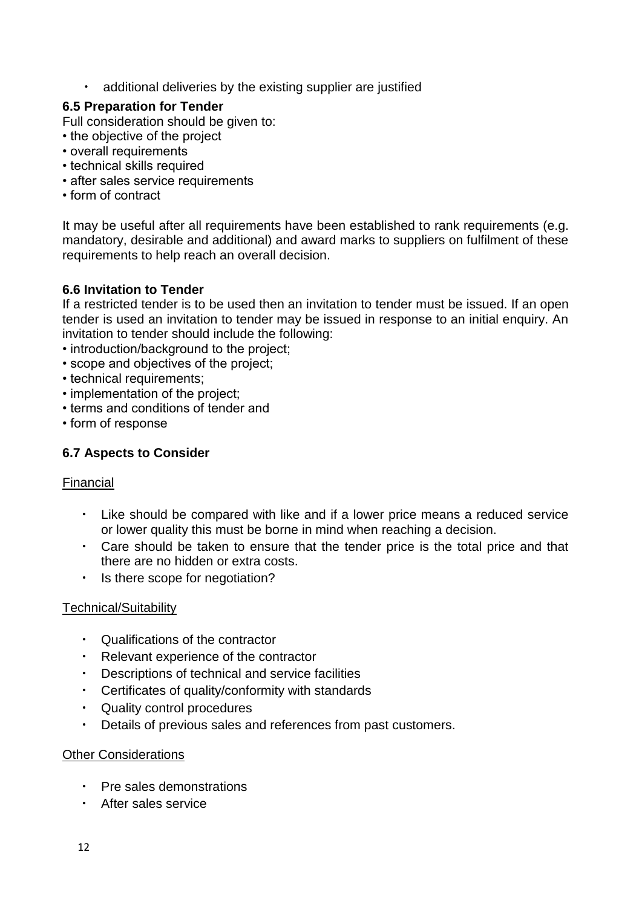additional deliveries by the existing supplier are justified

#### <span id="page-12-0"></span>**6.5 Preparation for Tender**

Full consideration should be given to:

- the objective of the project
- overall requirements
- technical skills required
- after sales service requirements
- form of contract

It may be useful after all requirements have been established to rank requirements (e.g. mandatory, desirable and additional) and award marks to suppliers on fulfilment of these requirements to help reach an overall decision.

#### <span id="page-12-1"></span>**6.6 Invitation to Tender**

If a restricted tender is to be used then an invitation to tender must be issued. If an open tender is used an invitation to tender may be issued in response to an initial enquiry. An invitation to tender should include the following:

- introduction/background to the project;
- scope and objectives of the project;
- technical requirements;
- implementation of the project;
- terms and conditions of tender and
- form of response

#### **6.7 Aspects to Consider**

#### Financial

- Like should be compared with like and if a lower price means a reduced service or lower quality this must be borne in mind when reaching a decision.
- Care should be taken to ensure that the tender price is the total price and that there are no hidden or extra costs.
- Is there scope for negotiation?

#### Technical/Suitability

- Qualifications of the contractor
- Relevant experience of the contractor
- Descriptions of technical and service facilities
- Certificates of quality/conformity with standards
- Quality control procedures
- Details of previous sales and references from past customers.

#### Other Considerations

- Pre sales demonstrations
- After sales service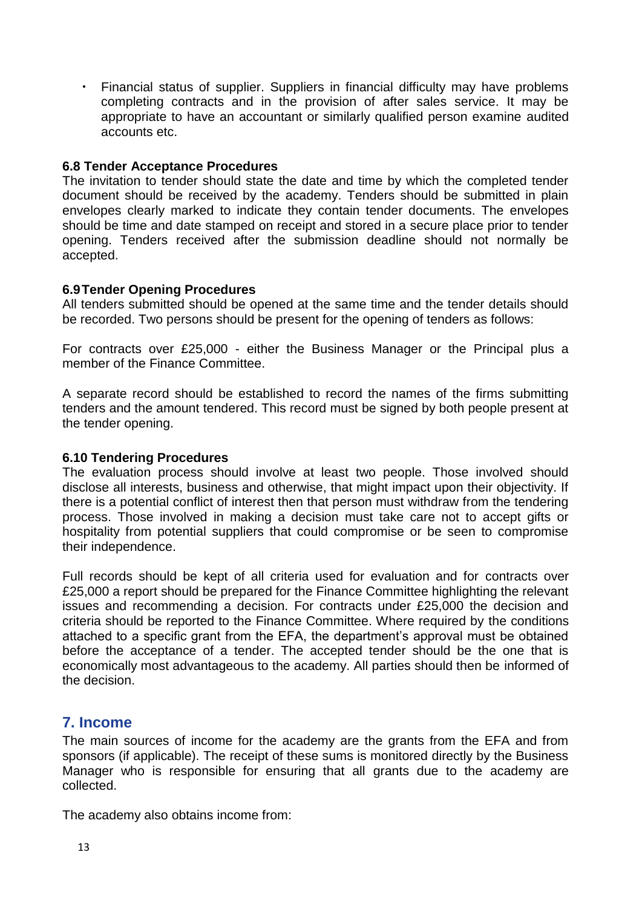• Financial status of supplier. Suppliers in financial difficulty may have problems completing contracts and in the provision of after sales service. It may be appropriate to have an accountant or similarly qualified person examine audited accounts etc.

#### <span id="page-13-0"></span>**6.8 Tender Acceptance Procedures**

The invitation to tender should state the date and time by which the completed tender document should be received by the academy. Tenders should be submitted in plain envelopes clearly marked to indicate they contain tender documents. The envelopes should be time and date stamped on receipt and stored in a secure place prior to tender opening. Tenders received after the submission deadline should not normally be accepted.

#### <span id="page-13-1"></span>**6.9Tender Opening Procedures**

All tenders submitted should be opened at the same time and the tender details should be recorded. Two persons should be present for the opening of tenders as follows:

For contracts over £25,000 - either the Business Manager or the Principal plus a member of the Finance Committee.

A separate record should be established to record the names of the firms submitting tenders and the amount tendered. This record must be signed by both people present at the tender opening.

#### <span id="page-13-2"></span>**6.10 Tendering Procedures**

The evaluation process should involve at least two people. Those involved should disclose all interests, business and otherwise, that might impact upon their objectivity. If there is a potential conflict of interest then that person must withdraw from the tendering process. Those involved in making a decision must take care not to accept gifts or hospitality from potential suppliers that could compromise or be seen to compromise their independence.

Full records should be kept of all criteria used for evaluation and for contracts over £25,000 a report should be prepared for the Finance Committee highlighting the relevant issues and recommending a decision. For contracts under £25,000 the decision and criteria should be reported to the Finance Committee. Where required by the conditions attached to a specific grant from the EFA, the department's approval must be obtained before the acceptance of a tender. The accepted tender should be the one that is economically most advantageous to the academy. All parties should then be informed of the decision.

## <span id="page-13-3"></span>**7. Income**

The main sources of income for the academy are the grants from the EFA and from sponsors (if applicable). The receipt of these sums is monitored directly by the Business Manager who is responsible for ensuring that all grants due to the academy are collected.

The academy also obtains income from: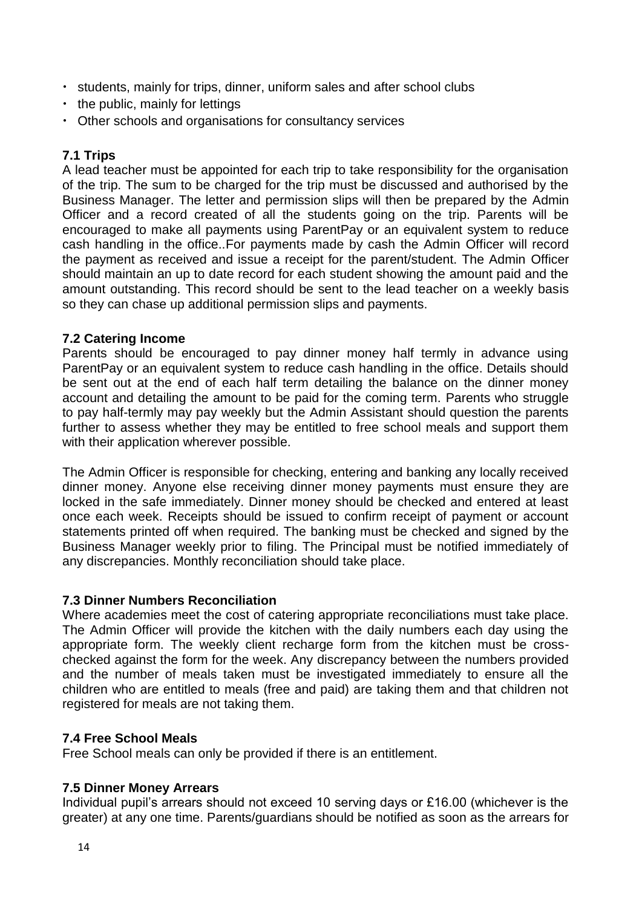- students, mainly for trips, dinner, uniform sales and after school clubs
- the public, mainly for lettings
- Other schools and organisations for consultancy services

#### <span id="page-14-0"></span>**7.1 Trips**

A lead teacher must be appointed for each trip to take responsibility for the organisation of the trip. The sum to be charged for the trip must be discussed and authorised by the Business Manager. The letter and permission slips will then be prepared by the Admin Officer and a record created of all the students going on the trip. Parents will be encouraged to make all payments using ParentPay or an equivalent system to reduce cash handling in the office..For payments made by cash the Admin Officer will record the payment as received and issue a receipt for the parent/student. The Admin Officer should maintain an up to date record for each student showing the amount paid and the amount outstanding. This record should be sent to the lead teacher on a weekly basis so they can chase up additional permission slips and payments.

#### <span id="page-14-1"></span>**7.2 Catering Income**

Parents should be encouraged to pay dinner money half termly in advance using ParentPay or an equivalent system to reduce cash handling in the office. Details should be sent out at the end of each half term detailing the balance on the dinner money account and detailing the amount to be paid for the coming term. Parents who struggle to pay half-termly may pay weekly but the Admin Assistant should question the parents further to assess whether they may be entitled to free school meals and support them with their application wherever possible.

The Admin Officer is responsible for checking, entering and banking any locally received dinner money. Anyone else receiving dinner money payments must ensure they are locked in the safe immediately. Dinner money should be checked and entered at least once each week. Receipts should be issued to confirm receipt of payment or account statements printed off when required. The banking must be checked and signed by the Business Manager weekly prior to filing. The Principal must be notified immediately of any discrepancies. Monthly reconciliation should take place.

#### <span id="page-14-2"></span>**7.3 Dinner Numbers Reconciliation**

Where academies meet the cost of catering appropriate reconciliations must take place. The Admin Officer will provide the kitchen with the daily numbers each day using the appropriate form. The weekly client recharge form from the kitchen must be crosschecked against the form for the week. Any discrepancy between the numbers provided and the number of meals taken must be investigated immediately to ensure all the children who are entitled to meals (free and paid) are taking them and that children not registered for meals are not taking them.

#### <span id="page-14-3"></span>**7.4 Free School Meals**

Free School meals can only be provided if there is an entitlement.

#### <span id="page-14-4"></span>**7.5 Dinner Money Arrears**

Individual pupil's arrears should not exceed 10 serving days or £16.00 (whichever is the greater) at any one time. Parents/guardians should be notified as soon as the arrears for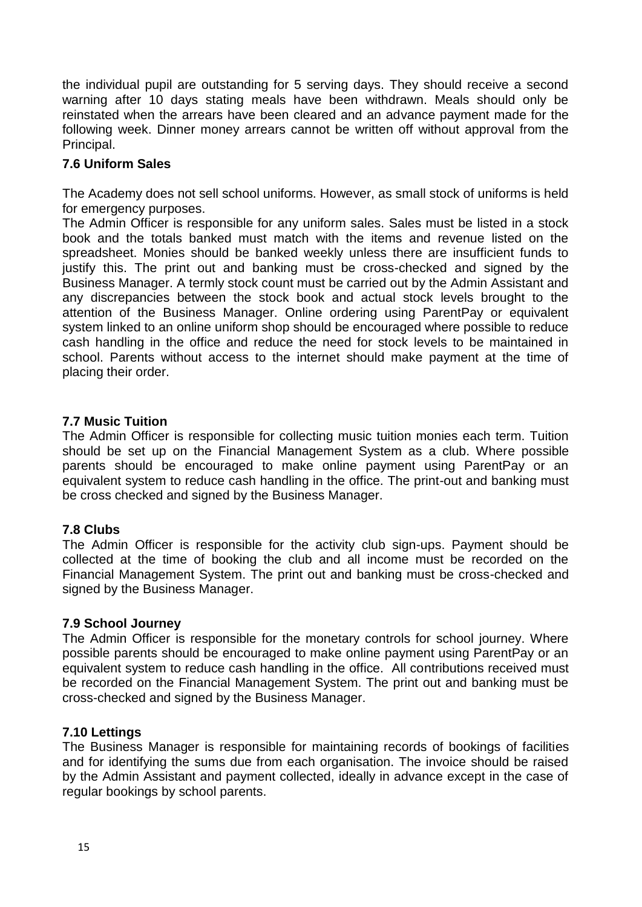the individual pupil are outstanding for 5 serving days. They should receive a second warning after 10 days stating meals have been withdrawn. Meals should only be reinstated when the arrears have been cleared and an advance payment made for the following week. Dinner money arrears cannot be written off without approval from the Principal.

#### <span id="page-15-0"></span>**7.6 Uniform Sales**

The Academy does not sell school uniforms. However, as small stock of uniforms is held for emergency purposes.

The Admin Officer is responsible for any uniform sales. Sales must be listed in a stock book and the totals banked must match with the items and revenue listed on the spreadsheet. Monies should be banked weekly unless there are insufficient funds to justify this. The print out and banking must be cross-checked and signed by the Business Manager. A termly stock count must be carried out by the Admin Assistant and any discrepancies between the stock book and actual stock levels brought to the attention of the Business Manager. Online ordering using ParentPay or equivalent system linked to an online uniform shop should be encouraged where possible to reduce cash handling in the office and reduce the need for stock levels to be maintained in school. Parents without access to the internet should make payment at the time of placing their order.

#### <span id="page-15-1"></span>**7.7 Music Tuition**

The Admin Officer is responsible for collecting music tuition monies each term. Tuition should be set up on the Financial Management System as a club. Where possible parents should be encouraged to make online payment using ParentPay or an equivalent system to reduce cash handling in the office. The print-out and banking must be cross checked and signed by the Business Manager.

#### <span id="page-15-2"></span>**7.8 Clubs**

The Admin Officer is responsible for the activity club sign-ups. Payment should be collected at the time of booking the club and all income must be recorded on the Financial Management System. The print out and banking must be cross-checked and signed by the Business Manager.

#### <span id="page-15-3"></span>**7.9 School Journey**

The Admin Officer is responsible for the monetary controls for school journey. Where possible parents should be encouraged to make online payment using ParentPay or an equivalent system to reduce cash handling in the office. All contributions received must be recorded on the Financial Management System. The print out and banking must be cross-checked and signed by the Business Manager.

#### <span id="page-15-4"></span>**7.10 Lettings**

The Business Manager is responsible for maintaining records of bookings of facilities and for identifying the sums due from each organisation. The invoice should be raised by the Admin Assistant and payment collected, ideally in advance except in the case of regular bookings by school parents.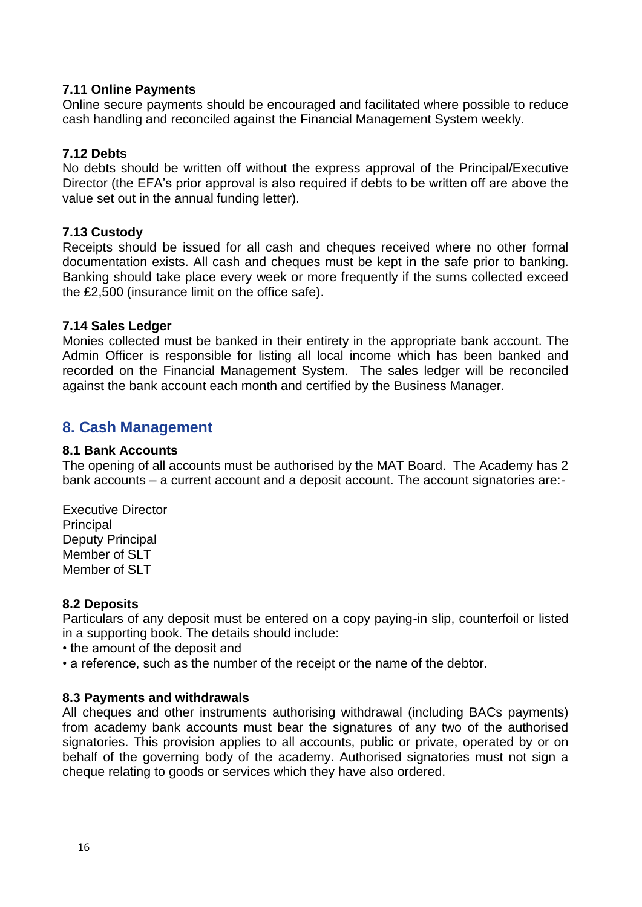#### <span id="page-16-0"></span>**7.11 Online Payments**

Online secure payments should be encouraged and facilitated where possible to reduce cash handling and reconciled against the Financial Management System weekly.

#### <span id="page-16-1"></span>**7.12 Debts**

No debts should be written off without the express approval of the Principal/Executive Director (the EFA's prior approval is also required if debts to be written off are above the value set out in the annual funding letter).

#### <span id="page-16-2"></span>**7.13 Custody**

Receipts should be issued for all cash and cheques received where no other formal documentation exists. All cash and cheques must be kept in the safe prior to banking. Banking should take place every week or more frequently if the sums collected exceed the £2,500 (insurance limit on the office safe).

#### <span id="page-16-3"></span>**7.14 Sales Ledger**

Monies collected must be banked in their entirety in the appropriate bank account. The Admin Officer is responsible for listing all local income which has been banked and recorded on the Financial Management System. The sales ledger will be reconciled against the bank account each month and certified by the Business Manager.

## <span id="page-16-4"></span>**8. Cash Management**

#### <span id="page-16-5"></span>**8.1 Bank Accounts**

The opening of all accounts must be authorised by the MAT Board. The Academy has 2 bank accounts – a current account and a deposit account. The account signatories are:-

Executive Director **Principal** Deputy Principal Member of SLT Member of SLT

#### <span id="page-16-6"></span>**8.2 Deposits**

Particulars of any deposit must be entered on a copy paying-in slip, counterfoil or listed in a supporting book. The details should include:

- the amount of the deposit and
- a reference, such as the number of the receipt or the name of the debtor.

#### <span id="page-16-7"></span>**8.3 Payments and withdrawals**

All cheques and other instruments authorising withdrawal (including BACs payments) from academy bank accounts must bear the signatures of any two of the authorised signatories. This provision applies to all accounts, public or private, operated by or on behalf of the governing body of the academy. Authorised signatories must not sign a cheque relating to goods or services which they have also ordered.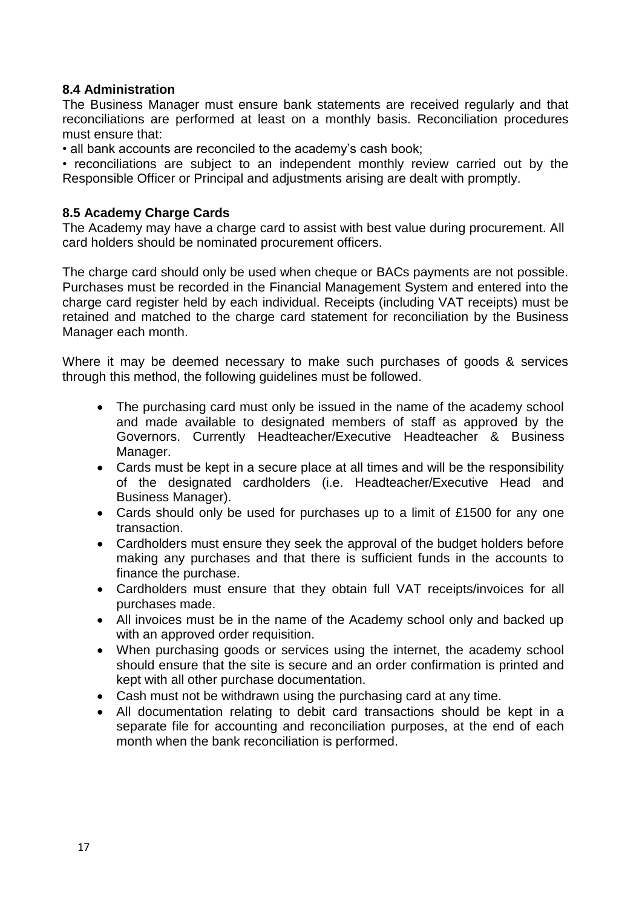#### <span id="page-17-0"></span>**8.4 Administration**

The Business Manager must ensure bank statements are received regularly and that reconciliations are performed at least on a monthly basis. Reconciliation procedures must ensure that:

• all bank accounts are reconciled to the academy's cash book;

• reconciliations are subject to an independent monthly review carried out by the Responsible Officer or Principal and adjustments arising are dealt with promptly.

#### <span id="page-17-1"></span>**8.5 Academy Charge Cards**

The Academy may have a charge card to assist with best value during procurement. All card holders should be nominated procurement officers.

The charge card should only be used when cheque or BACs payments are not possible. Purchases must be recorded in the Financial Management System and entered into the charge card register held by each individual. Receipts (including VAT receipts) must be retained and matched to the charge card statement for reconciliation by the Business Manager each month.

Where it may be deemed necessary to make such purchases of goods & services through this method, the following guidelines must be followed.

- The purchasing card must only be issued in the name of the academy school and made available to designated members of staff as approved by the Governors. Currently Headteacher/Executive Headteacher & Business Manager.
- Cards must be kept in a secure place at all times and will be the responsibility of the designated cardholders (i.e. Headteacher/Executive Head and Business Manager).
- Cards should only be used for purchases up to a limit of £1500 for any one transaction.
- Cardholders must ensure they seek the approval of the budget holders before making any purchases and that there is sufficient funds in the accounts to finance the purchase.
- Cardholders must ensure that they obtain full VAT receipts/invoices for all purchases made.
- All invoices must be in the name of the Academy school only and backed up with an approved order requisition.
- When purchasing goods or services using the internet, the academy school should ensure that the site is secure and an order confirmation is printed and kept with all other purchase documentation.
- Cash must not be withdrawn using the purchasing card at any time.
- All documentation relating to debit card transactions should be kept in a separate file for accounting and reconciliation purposes, at the end of each month when the bank reconciliation is performed.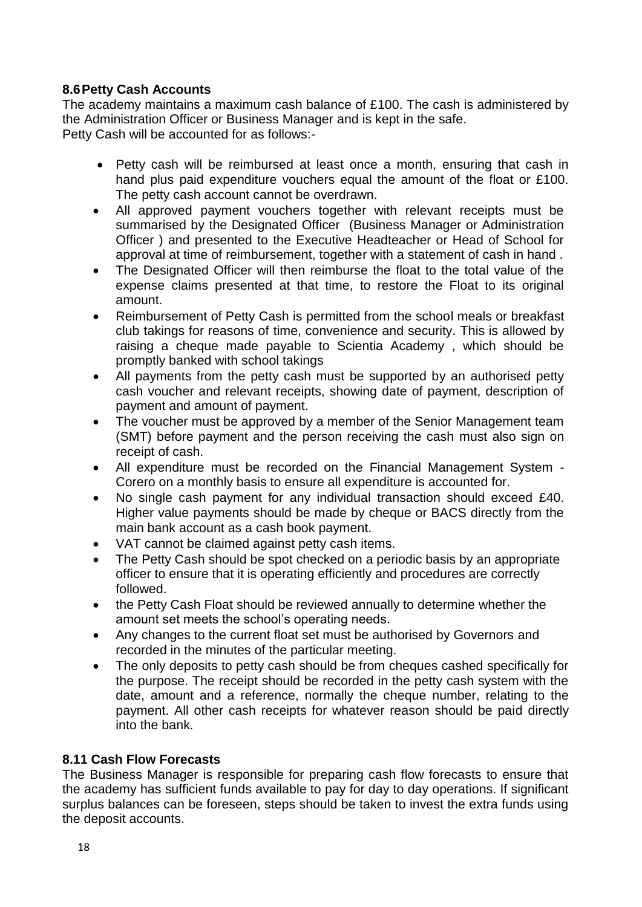#### <span id="page-18-0"></span>**8.6Petty Cash Accounts**

The academy maintains a maximum cash balance of £100. The cash is administered by the Administration Officer or Business Manager and is kept in the safe. Petty Cash will be accounted for as follows:-

- Petty cash will be reimbursed at least once a month, ensuring that cash in hand plus paid expenditure vouchers equal the amount of the float or £100. The petty cash account cannot be overdrawn.
- All approved payment vouchers together with relevant receipts must be summarised by the Designated Officer (Business Manager or Administration Officer ) and presented to the Executive Headteacher or Head of School for approval at time of reimbursement, together with a statement of cash in hand .
- The Designated Officer will then reimburse the float to the total value of the expense claims presented at that time, to restore the Float to its original amount.
- Reimbursement of Petty Cash is permitted from the school meals or breakfast club takings for reasons of time, convenience and security. This is allowed by raising a cheque made payable to Scientia Academy , which should be promptly banked with school takings
- All payments from the petty cash must be supported by an authorised petty cash voucher and relevant receipts, showing date of payment, description of payment and amount of payment.
- The voucher must be approved by a member of the Senior Management team (SMT) before payment and the person receiving the cash must also sign on receipt of cash.
- All expenditure must be recorded on the Financial Management System Corero on a monthly basis to ensure all expenditure is accounted for.
- No single cash payment for any individual transaction should exceed £40. Higher value payments should be made by cheque or BACS directly from the main bank account as a cash book payment.
- VAT cannot be claimed against petty cash items.
- The Petty Cash should be spot checked on a periodic basis by an appropriate officer to ensure that it is operating efficiently and procedures are correctly followed.
- the Petty Cash Float should be reviewed annually to determine whether the amount set meets the school's operating needs.
- Any changes to the current float set must be authorised by Governors and recorded in the minutes of the particular meeting.
- The only deposits to petty cash should be from cheques cashed specifically for the purpose. The receipt should be recorded in the petty cash system with the date, amount and a reference, normally the cheque number, relating to the payment. All other cash receipts for whatever reason should be paid directly into the bank.

#### <span id="page-18-1"></span>**8.11 Cash Flow Forecasts**

The Business Manager is responsible for preparing cash flow forecasts to ensure that the academy has sufficient funds available to pay for day to day operations. If significant surplus balances can be foreseen, steps should be taken to invest the extra funds using the deposit accounts.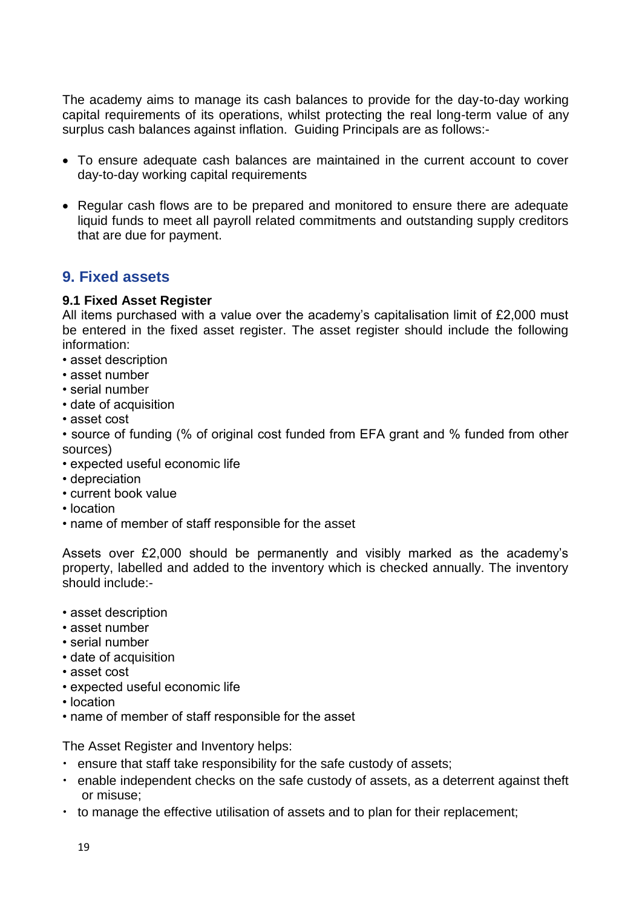The academy aims to manage its cash balances to provide for the day-to-day working capital requirements of its operations, whilst protecting the real long-term value of any surplus cash balances against inflation. Guiding Principals are as follows:-

- To ensure adequate cash balances are maintained in the current account to cover day-to-day working capital requirements
- Regular cash flows are to be prepared and monitored to ensure there are adequate liquid funds to meet all payroll related commitments and outstanding supply creditors that are due for payment.

## <span id="page-19-0"></span>**9. Fixed assets**

#### <span id="page-19-1"></span>**9.1 Fixed Asset Register**

All items purchased with a value over the academy's capitalisation limit of £2,000 must be entered in the fixed asset register. The asset register should include the following information:

- asset description
- asset number
- serial number
- date of acquisition
- asset cost

• source of funding (% of original cost funded from EFA grant and % funded from other sources)

- expected useful economic life
- depreciation
- current book value
- location
- name of member of staff responsible for the asset

Assets over £2,000 should be permanently and visibly marked as the academy's property, labelled and added to the inventory which is checked annually. The inventory should include:-

- asset description
- asset number
- serial number
- date of acquisition
- asset cost
- expected useful economic life
- location
- name of member of staff responsible for the asset

The Asset Register and Inventory helps:

- ensure that staff take responsibility for the safe custody of assets;
- enable independent checks on the safe custody of assets, as a deterrent against theft or misuse;
- to manage the effective utilisation of assets and to plan for their replacement;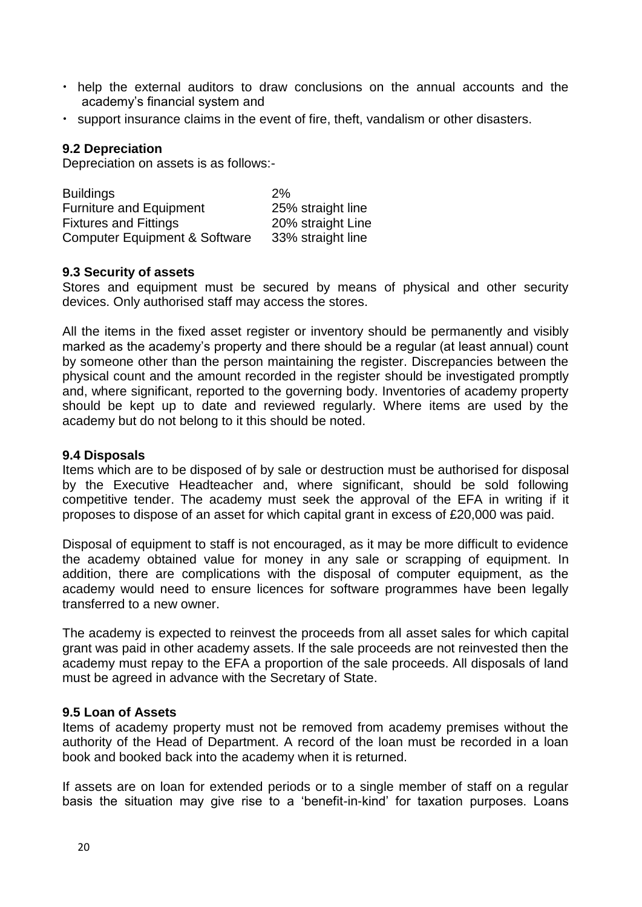- help the external auditors to draw conclusions on the annual accounts and the academy's financial system and
- support insurance claims in the event of fire, theft, vandalism or other disasters.

#### **9.2 Depreciation**

Depreciation on assets is as follows:-

| <b>Buildings</b>                         | 2%                |
|------------------------------------------|-------------------|
| <b>Furniture and Equipment</b>           | 25% straight line |
| <b>Fixtures and Fittings</b>             | 20% straight Line |
| <b>Computer Equipment &amp; Software</b> | 33% straight line |

#### <span id="page-20-0"></span>**9.3 Security of assets**

Stores and equipment must be secured by means of physical and other security devices. Only authorised staff may access the stores.

All the items in the fixed asset register or inventory should be permanently and visibly marked as the academy's property and there should be a regular (at least annual) count by someone other than the person maintaining the register. Discrepancies between the physical count and the amount recorded in the register should be investigated promptly and, where significant, reported to the governing body. Inventories of academy property should be kept up to date and reviewed regularly. Where items are used by the academy but do not belong to it this should be noted.

#### <span id="page-20-1"></span>**9.4 Disposals**

Items which are to be disposed of by sale or destruction must be authorised for disposal by the Executive Headteacher and, where significant, should be sold following competitive tender. The academy must seek the approval of the EFA in writing if it proposes to dispose of an asset for which capital grant in excess of £20,000 was paid.

Disposal of equipment to staff is not encouraged, as it may be more difficult to evidence the academy obtained value for money in any sale or scrapping of equipment. In addition, there are complications with the disposal of computer equipment, as the academy would need to ensure licences for software programmes have been legally transferred to a new owner.

The academy is expected to reinvest the proceeds from all asset sales for which capital grant was paid in other academy assets. If the sale proceeds are not reinvested then the academy must repay to the EFA a proportion of the sale proceeds. All disposals of land must be agreed in advance with the Secretary of State.

#### <span id="page-20-2"></span>**9.5 Loan of Assets**

Items of academy property must not be removed from academy premises without the authority of the Head of Department. A record of the loan must be recorded in a loan book and booked back into the academy when it is returned.

If assets are on loan for extended periods or to a single member of staff on a regular basis the situation may give rise to a 'benefit-in-kind' for taxation purposes. Loans